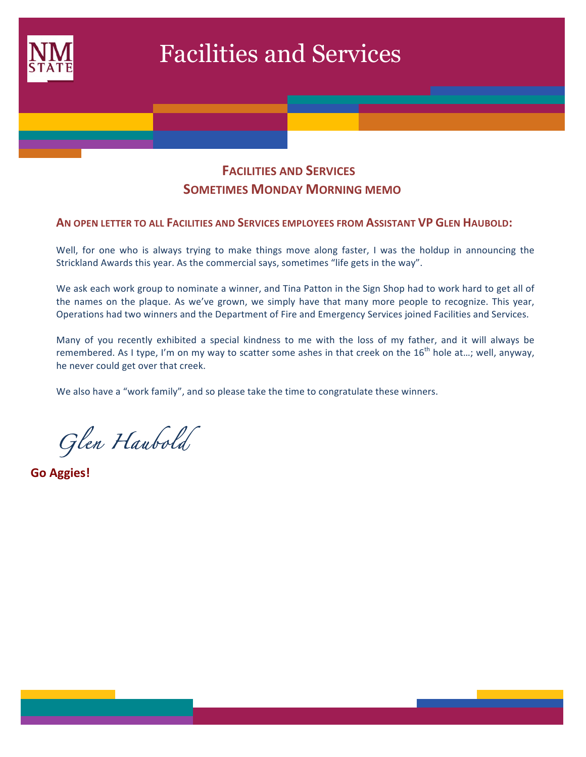

# **FACILITIES AND SERVICES SOMETIMES MONDAY MORNING MEMO**

#### **AN OPEN LETTER TO ALL FACILITIES AND SERVICES EMPLOYEES FROM ASSISTANT VP GLEN HAUBOLD:**

Well, for one who is always trying to make things move along faster, I was the holdup in announcing the Strickland Awards this year. As the commercial says, sometimes "life gets in the way".

We ask each work group to nominate a winner, and Tina Patton in the Sign Shop had to work hard to get all of the names on the plaque. As we've grown, we simply have that many more people to recognize. This year, Operations had two winners and the Department of Fire and Emergency Services joined Facilities and Services.

Many of you recently exhibited a special kindness to me with the loss of my father, and it will always be remembered. As I type, I'm on my way to scatter some ashes in that creek on the  $16^{th}$  hole at...; well, anyway, he never could get over that creek.

We also have a "work family", and so please take the time to congratulate these winners.

*Glen Haubold* 

**Go Aggies!**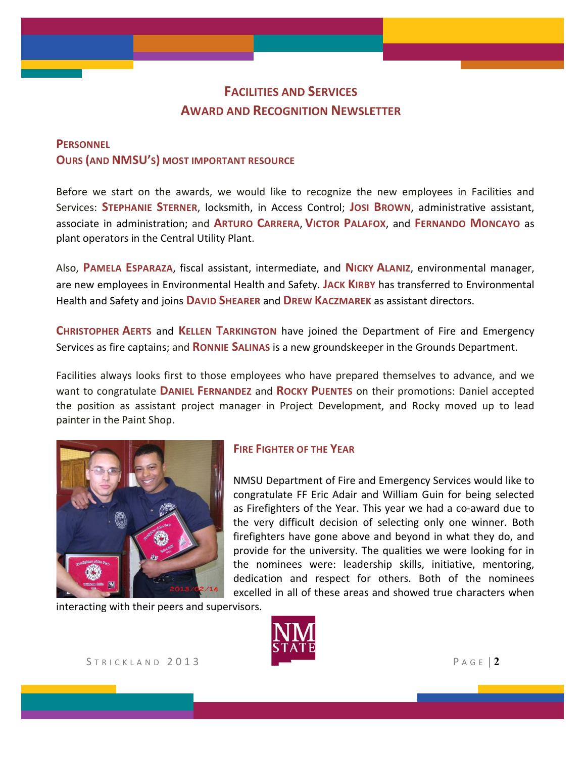# **FACILITIES AND SERVICES AWARD AND RECOGNITION NEWSLETTER**

## **PERSONNEL OURS (AND NMSU'S) MOST IMPORTANT RESOURCE**

Before we start on the awards, we would like to recognize the new employees in Facilities and Services: **STEPHANIE STERNER**, locksmith, in Access Control; **JOSI BROWN**, administrative assistant, associate in administration; and **ARTURO CARRERA, VICTOR PALAFOX**, and FERNANDO MONCAYO as plant operators in the Central Utility Plant.

Also, PAMELA ESPARAZA, fiscal assistant, intermediate, and NICKY ALANIZ, environmental manager, are new employees in Environmental Health and Safety. JACK KIRBY has transferred to Environmental Health and Safety and joins **DAVID SHEARER** and **DREW KACZMAREK** as assistant directors.

**CHRISTOPHER AERTS and KELLEN TARKINGTON** have joined the Department of Fire and Emergency Services as fire captains; and **RONNIE SALINAS** is a new groundskeeper in the Grounds Department.

Facilities always looks first to those employees who have prepared themselves to advance, and we want to congratulate **DANIEL FERNANDEZ** and **ROCKY PUENTES** on their promotions: Daniel accepted the position as assistant project manager in Project Development, and Rocky moved up to lead painter in the Paint Shop.



## **FIRE FIGHTER OF THE YEAR**

NMSU Department of Fire and Emergency Services would like to congratulate FF Eric Adair and William Guin for being selected as Firefighters of the Year. This year we had a co-award due to the very difficult decision of selecting only one winner. Both firefighters have gone above and beyond in what they do, and provide for the university. The qualities we were looking for in the nominees were: leadership skills, initiative, mentoring, dedication and respect for others. Both of the nominees excelled in all of these areas and showed true characters when

interacting with their peers and supervisors.



STRICKLAND 2013 PAGE | 2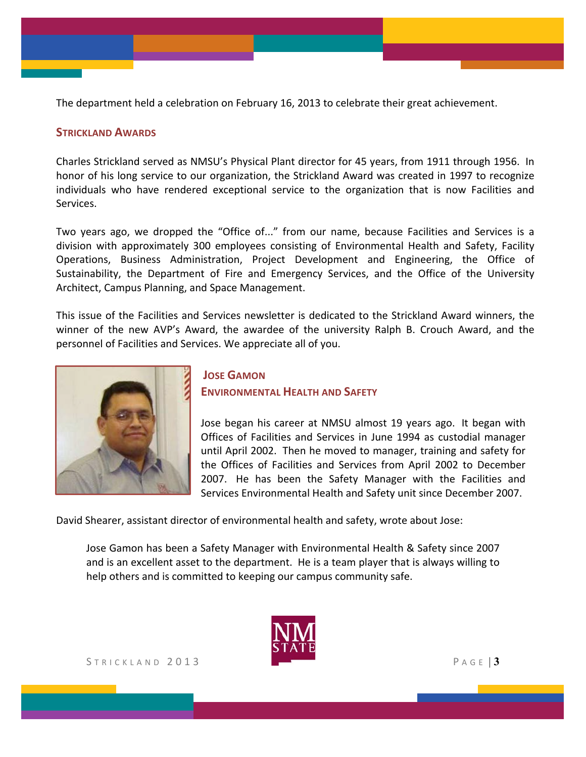The department held a celebration on February 16, 2013 to celebrate their great achievement.

#### **STRICKLAND AWARDS**

Charles Strickland served as NMSU's Physical Plant director for 45 years, from 1911 through 1956. In honor of his long service to our organization, the Strickland Award was created in 1997 to recognize individuals who have rendered exceptional service to the organization that is now Facilities and Services.

Two years ago, we dropped the "Office of..." from our name, because Facilities and Services is a division with approximately 300 employees consisting of Environmental Health and Safety, Facility Operations, Business Administration, Project Development and Engineering, the Office of Sustainability, the Department of Fire and Emergency Services, and the Office of the University Architect, Campus Planning, and Space Management.

This issue of the Facilities and Services newsletter is dedicated to the Strickland Award winners, the winner of the new AVP's Award, the awardee of the university Ralph B. Crouch Award, and the personnel of Facilities and Services. We appreciate all of you.



## **JOSE GAMON ENVIRONMENTAL HEALTH AND SAFETY**

Jose began his career at NMSU almost 19 years ago. It began with Offices of Facilities and Services in June 1994 as custodial manager until April 2002. Then he moved to manager, training and safety for the Offices of Facilities and Services from April 2002 to December 2007. He has been the Safety Manager with the Facilities and Services Environmental Health and Safety unit since December 2007.

David Shearer, assistant director of environmental health and safety, wrote about Jose:

Jose Gamon has been a Safety Manager with Environmental Health & Safety since 2007 and is an excellent asset to the department. He is a team player that is always willing to help others and is committed to keeping our campus community safe.

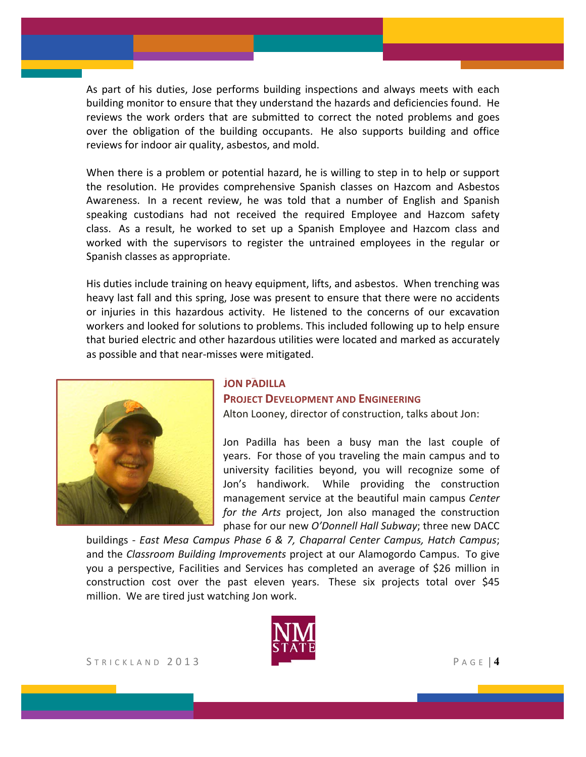As part of his duties, Jose performs building inspections and always meets with each building monitor to ensure that they understand the hazards and deficiencies found. He reviews the work orders that are submitted to correct the noted problems and goes over the obligation of the building occupants. He also supports building and office reviews for indoor air quality, asbestos, and mold.

When there is a problem or potential hazard, he is willing to step in to help or support the resolution. He provides comprehensive Spanish classes on Hazcom and Asbestos Awareness. In a recent review, he was told that a number of English and Spanish speaking custodians had not received the required Employee and Hazcom safety class. As a result, he worked to set up a Spanish Employee and Hazcom class and worked with the supervisors to register the untrained employees in the regular or Spanish classes as appropriate.

His duties include training on heavy equipment, lifts, and asbestos. When trenching was heavy last fall and this spring, Jose was present to ensure that there were no accidents or injuries in this hazardous activity. He listened to the concerns of our excavation workers and looked for solutions to problems. This included following up to help ensure that buried electric and other hazardous utilities were located and marked as accurately as possible and that near-misses were mitigated.



## **JOHN PADILLA JON PADILLA**

#### **PROJECT DEVELOPMENT AND ENGINEERING**

Alton Looney, director of construction, talks about Jon:

Jon Padilla has been a busy man the last couple of years. For those of you traveling the main campus and to university facilities beyond, you will recognize some of Jon's handiwork. While providing the construction management service at the beautiful main campus *Center for the Arts* project, Jon also managed the construction phase for our new O'Donnell Hall Subway; three new DACC

buildings - *East Mesa Campus Phase 6 & 7, Chaparral Center Campus, Hatch Campus*; and the *Classroom Building Improvements* project at our Alamogordo Campus. To give you a perspective, Facilities and Services has completed an average of \$26 million in construction cost over the past eleven years. These six projects total over \$45 million. We are tired just watching Jon work.

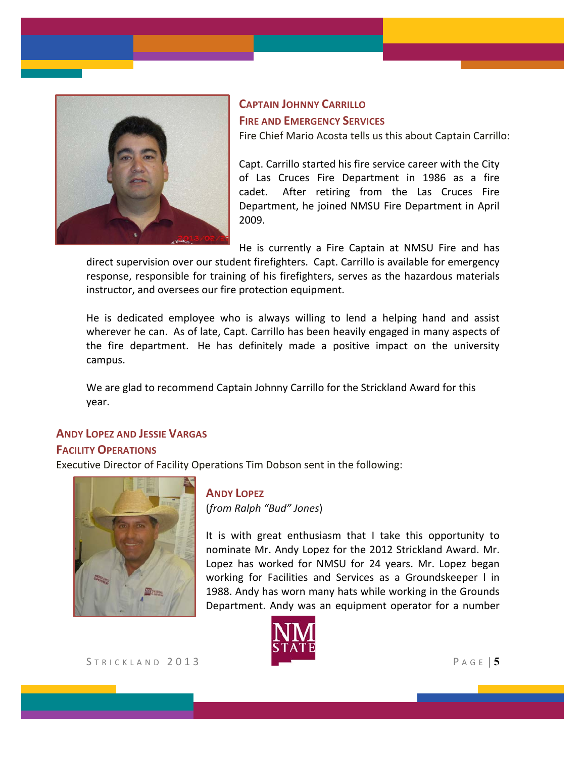

# **CAPTAIN JOHNNY CARRILLO FIRE AND EMERGENCY SERVICES**

Fire Chief Mario Acosta tells us this about Captain Carrillo:

Capt. Carrillo started his fire service career with the City of Las Cruces Fire Department in 1986 as a fire cadet. After retiring from the Las Cruces Fire Department, he joined NMSU Fire Department in April 2009.

He is currently a Fire Captain at NMSU Fire and has

direct supervision over our student firefighters. Capt. Carrillo is available for emergency response, responsible for training of his firefighters, serves as the hazardous materials instructor, and oversees our fire protection equipment.

He is dedicated employee who is always willing to lend a helping hand and assist wherever he can. As of late, Capt. Carrillo has been heavily engaged in many aspects of the fire department. He has definitely made a positive impact on the university campus.

We are glad to recommend Captain Johnny Carrillo for the Strickland Award for this year.

## **ANDY LOPEZ AND JESSIE VARGAS**

## **FACILITY OPERATIONS**

Executive Director of Facility Operations Tim Dobson sent in the following:



## **ANDY LOPEZ**

(*from Ralph "Bud" Jones*)

It is with great enthusiasm that I take this opportunity to nominate Mr. Andy Lopez for the 2012 Strickland Award. Mr. Lopez has worked for NMSU for 24 years. Mr. Lopez began working for Facilities and Services as a Groundskeeper I in 1988. Andy has worn many hats while working in the Grounds Department. Andy was an equipment operator for a number

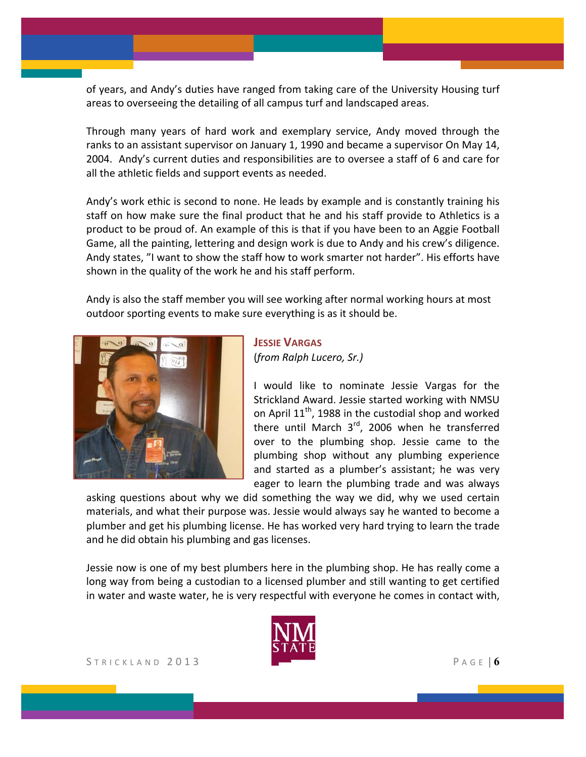of years, and Andy's duties have ranged from taking care of the University Housing turf areas to overseeing the detailing of all campus turf and landscaped areas.

Through many years of hard work and exemplary service, Andy moved through the ranks to an assistant supervisor on January 1, 1990 and became a supervisor On May 14, 2004. Andy's current duties and responsibilities are to oversee a staff of 6 and care for all the athletic fields and support events as needed.

Andy's work ethic is second to none. He leads by example and is constantly training his staff on how make sure the final product that he and his staff provide to Athletics is a product to be proud of. An example of this is that if you have been to an Aggie Football Game, all the painting, lettering and design work is due to Andy and his crew's diligence. Andy states, "I want to show the staff how to work smarter not harder". His efforts have shown in the quality of the work he and his staff perform.

Andy is also the staff member you will see working after normal working hours at most outdoor sporting events to make sure everything is as it should be.



## **JESSIE VARGAS** (*from Ralph Lucero, Sr.)*

I would like to nominate Jessie Vargas for the Strickland Award. Jessie started working with NMSU on April  $11<sup>th</sup>$ , 1988 in the custodial shop and worked there until March  $3<sup>rd</sup>$ , 2006 when he transferred over to the plumbing shop. Jessie came to the plumbing shop without any plumbing experience and started as a plumber's assistant; he was very eager to learn the plumbing trade and was always

asking questions about why we did something the way we did, why we used certain materials, and what their purpose was. Jessie would always say he wanted to become a plumber and get his plumbing license. He has worked very hard trying to learn the trade and he did obtain his plumbing and gas licenses.

Jessie now is one of my best plumbers here in the plumbing shop. He has really come a long way from being a custodian to a licensed plumber and still wanting to get certified in water and waste water, he is very respectful with everyone he comes in contact with,

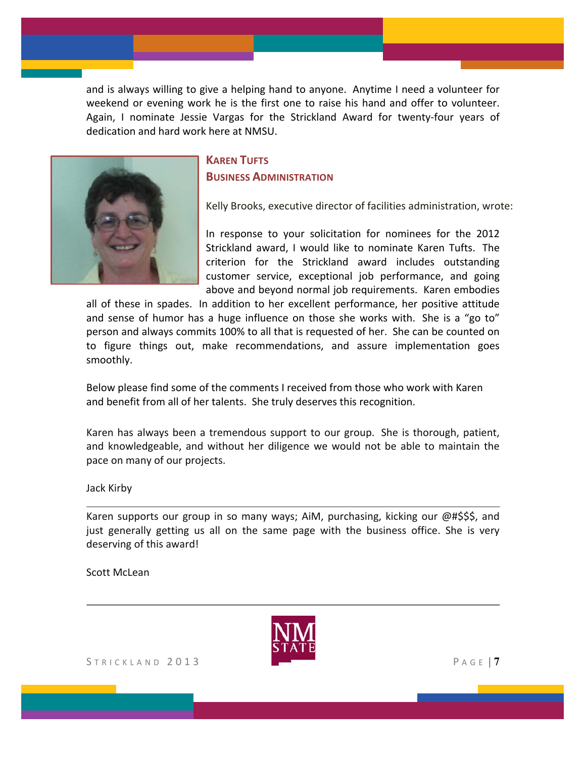and is always willing to give a helping hand to anyone. Anytime I need a volunteer for weekend or evening work he is the first one to raise his hand and offer to volunteer. Again, I nominate Jessie Vargas for the Strickland Award for twenty-four years of dedication and hard work here at NMSU.



## **KAREN TUETS BUSINESS ADMINISTRATION**

Kelly Brooks, executive director of facilities administration, wrote:

In response to your solicitation for nominees for the 2012 Strickland award, I would like to nominate Karen Tufts. The criterion for the Strickland award includes outstanding customer service, exceptional job performance, and going above and beyond normal job requirements. Karen embodies

all of these in spades. In addition to her excellent performance, her positive attitude and sense of humor has a huge influence on those she works with. She is a "go to" person and always commits 100% to all that is requested of her. She can be counted on to figure things out, make recommendations, and assure implementation goes smoothly.

Below please find some of the comments I received from those who work with Karen and benefit from all of her talents. She truly deserves this recognition.

Karen has always been a tremendous support to our group. She is thorough, patient, and knowledgeable, and without her diligence we would not be able to maintain the pace on many of our projects.

Jack Kirby

Karen supports our group in so many ways; AiM, purchasing, kicking our  $\omega$ #\$\$\$, and just generally getting us all on the same page with the business office. She is very deserving of this award!

Scott McLean



STRICKLAND 2013 PAGE | **7**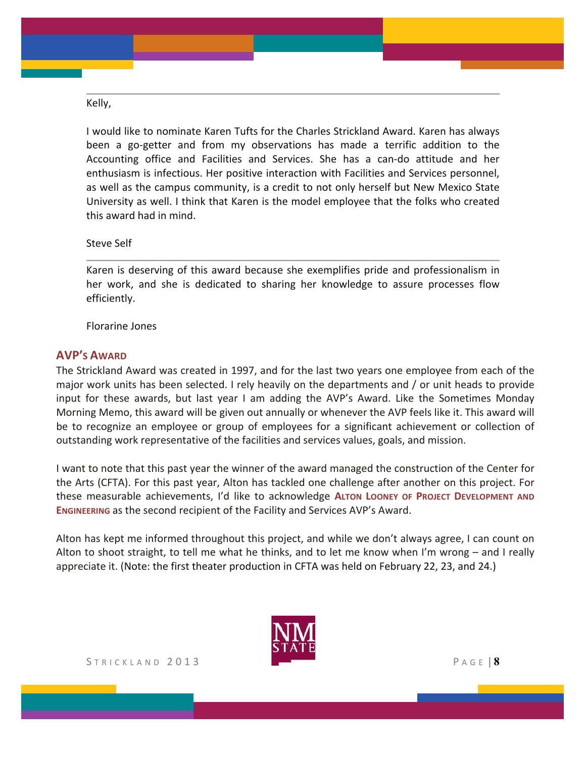Kelly,

I would like to nominate Karen Tufts for the Charles Strickland Award. Karen has always been a go-getter and from my observations has made a terrific addition to the Accounting office and Facilities and Services. She has a can-do attitude and her enthusiasm is infectious. Her positive interaction with Facilities and Services personnel, as well as the campus community, is a credit to not only herself but New Mexico State University as well. I think that Karen is the model employee that the folks who created this award had in mind.

Steve Self

Karen is deserving of this award because she exemplifies pride and professionalism in her work, and she is dedicated to sharing her knowledge to assure processes flow efficiently.

Florarine Jones

#### **AVP'S AWARD**

The Strickland Award was created in 1997, and for the last two years one employee from each of the major work units has been selected. I rely heavily on the departments and / or unit heads to provide input for these awards, but last year I am adding the AVP's Award. Like the Sometimes Monday Morning Memo, this award will be given out annually or whenever the AVP feels like it. This award will be to recognize an employee or group of employees for a significant achievement or collection of outstanding work representative of the facilities and services values, goals, and mission.

I want to note that this past year the winner of the award managed the construction of the Center for the Arts (CFTA). For this past year, Alton has tackled one challenge after another on this project. For these measurable achievements, I'd like to acknowledge ALTON LOONEY OF PROJECT DEVELOPMENT AND **ENGINEERING** as the second recipient of the Facility and Services AVP's Award.

Alton has kept me informed throughout this project, and while we don't always agree, I can count on Alton to shoot straight, to tell me what he thinks, and to let me know when I'm wrong  $-$  and I really appreciate it. (Note: the first theater production in CFTA was held on February 22, 23, and 24.)

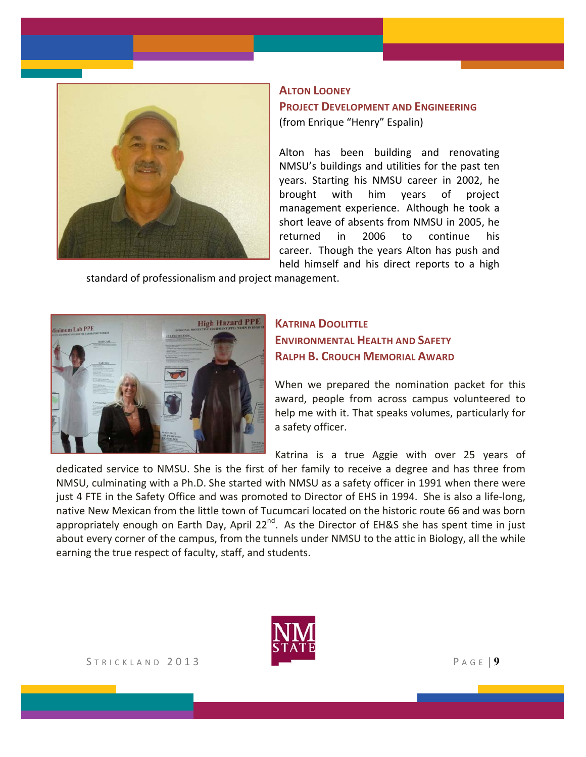

#### **ALTON LOONEY**

#### **PROJECT DEVELOPMENT AND ENGINEERING** (from Enrique "Henry" Espalin)

Alton has been building and renovating NMSU's buildings and utilities for the past ten years. Starting his NMSU career in 2002, he brought with him years of project management experience. Although he took a short leave of absents from NMSU in 2005, he returned in 2006 to continue his career. Though the years Alton has push and held himself and his direct reports to a high

standard of professionalism and project management.



## **KATRINA DOOLITTLE ENVIRONMENTAL HEALTH AND SAFETY RALPH B. CROUCH MEMORIAL AWARD**

When we prepared the nomination packet for this award, people from across campus volunteered to help me with it. That speaks volumes, particularly for a safety officer.

Katrina is a true Aggie with over 25 years of

dedicated service to NMSU. She is the first of her family to receive a degree and has three from NMSU, culminating with a Ph.D. She started with NMSU as a safety officer in 1991 when there were just 4 FTE in the Safety Office and was promoted to Director of EHS in 1994. She is also a life-long, native New Mexican from the little town of Tucumcari located on the historic route 66 and was born appropriately enough on Earth Day, April 22<sup>nd</sup>. As the Director of EH&S she has spent time in just about every corner of the campus, from the tunnels under NMSU to the attic in Biology, all the while earning the true respect of faculty, staff, and students.